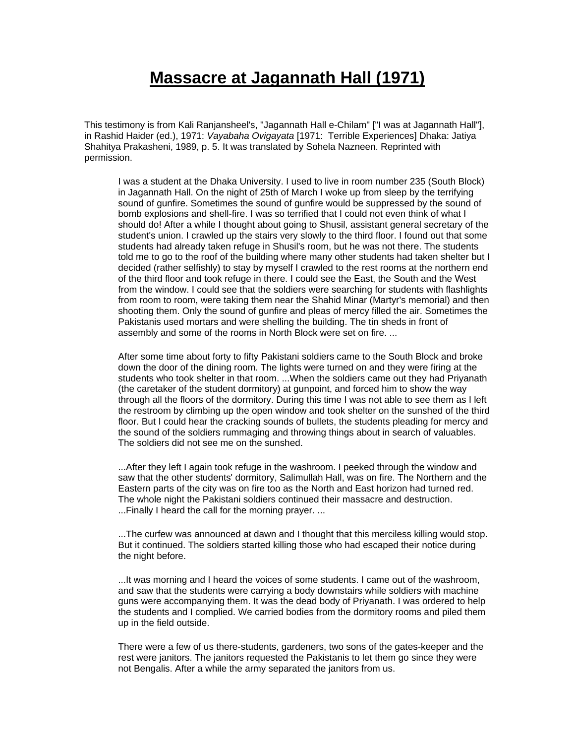## **Massacre at Jagannath Hall (1971)**

This testimony is from Kali Ranjansheel's, "Jagannath Hall e-Chilam" ["I was at Jagannath Hall"], in Rashid Haider (ed.), 1971: *Vayabaha Ovigayata* [1971: Terrible Experiences] Dhaka: Jatiya Shahitya Prakasheni, 1989, p. 5. It was translated by Sohela Nazneen. Reprinted with permission.

I was a student at the Dhaka University. I used to live in room number 235 (South Block) in Jagannath Hall. On the night of 25th of March I woke up from sleep by the terrifying sound of gunfire. Sometimes the sound of gunfire would be suppressed by the sound of bomb explosions and shell-fire. I was so terrified that I could not even think of what I should do! After a while I thought about going to Shusil, assistant general secretary of the student's union. I crawled up the stairs very slowly to the third floor. I found out that some students had already taken refuge in Shusil's room, but he was not there. The students told me to go to the roof of the building where many other students had taken shelter but I decided (rather selfishly) to stay by myself I crawled to the rest rooms at the northern end of the third floor and took refuge in there. I could see the East, the South and the West from the window. I could see that the soldiers were searching for students with flashlights from room to room, were taking them near the Shahid Minar (Martyr's memorial) and then shooting them. Only the sound of gunfire and pleas of mercy filled the air. Sometimes the Pakistanis used mortars and were shelling the building. The tin sheds in front of assembly and some of the rooms in North Block were set on fire. ...

After some time about forty to fifty Pakistani soldiers came to the South Block and broke down the door of the dining room. The lights were turned on and they were firing at the students who took shelter in that room. ...When the soldiers came out they had Priyanath (the caretaker of the student dormitory) at gunpoint, and forced him to show the way through all the floors of the dormitory. During this time I was not able to see them as I left the restroom by climbing up the open window and took shelter on the sunshed of the third floor. But I could hear the cracking sounds of bullets, the students pleading for mercy and the sound of the soldiers rummaging and throwing things about in search of valuables. The soldiers did not see me on the sunshed.

...After they left I again took refuge in the washroom. I peeked through the window and saw that the other students' dormitory, Salimullah Hall, was on fire. The Northern and the Eastern parts of the city was on fire too as the North and East horizon had turned red. The whole night the Pakistani soldiers continued their massacre and destruction. ...Finally I heard the call for the morning prayer. ...

...The curfew was announced at dawn and I thought that this merciless killing would stop. But it continued. The soldiers started killing those who had escaped their notice during the night before.

...It was morning and I heard the voices of some students. I came out of the washroom, and saw that the students were carrying a body downstairs while soldiers with machine guns were accompanying them. It was the dead body of Priyanath. I was ordered to help the students and I complied. We carried bodies from the dormitory rooms and piled them up in the field outside.

There were a few of us there-students, gardeners, two sons of the gates-keeper and the rest were janitors. The janitors requested the Pakistanis to let them go since they were not Bengalis. After a while the army separated the janitors from us.